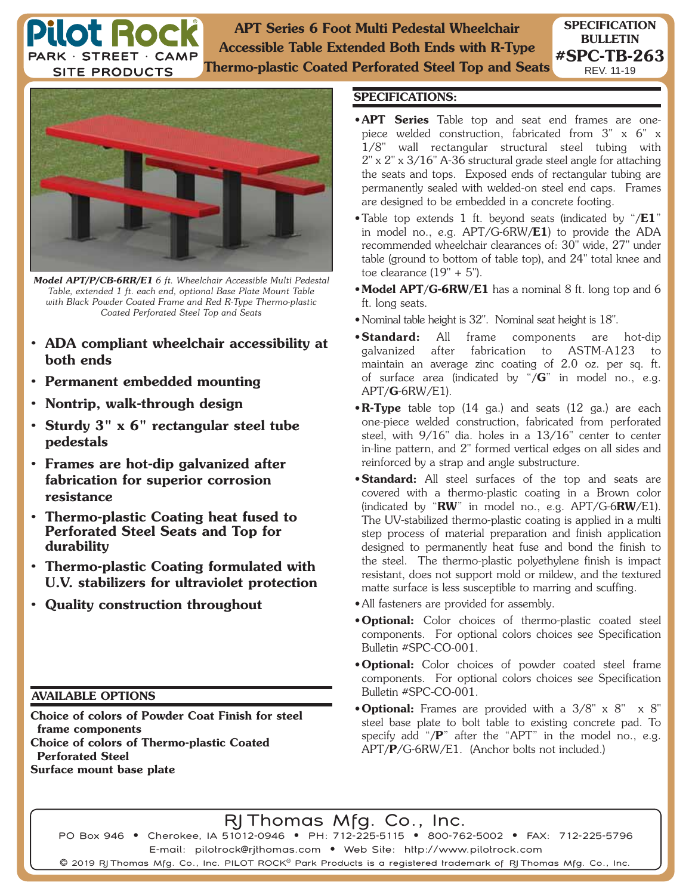**APT Series 6 Foot Multi Pedestal Wheelchair Accessible Table Extended Both Ends with R-Type Thermo-plastic Coated Perforated Steel Top and Seats**



**Pilot Rock** PARK · STREET · CAMP **SITE PRODUCTS** 

*Model APT/P/CB-6RR/E1 6 ft. Wheelchair Accessible Multi Pedestal Table, extended 1 ft. each end, optional Base Plate Mount Table with Black Powder Coated Frame and Red R-Type Thermo-plastic Coated Perforated Steel Top and Seats*

- **ADA compliant wheelchair accessibility at both ends**
- **Permanent embedded mounting**
- **Nontrip, walk-through design**
- **Sturdy 3" x 6" rectangular steel tube pedestals**
- **Frames are hot-dip galvanized after fabrication for superior corrosion resistance**
- **Thermo-plastic Coating heat fused to Perforated Steel Seats and Top for durability**
- **Thermo-plastic Coating formulated with U.V. stabilizers for ultraviolet protection**
- **Quality construction throughout**

## **AVAILABLE OPTIONS**

**Choice of colors of Powder Coat Finish for steel frame components Choice of colors of Thermo-plastic Coated Perforated Steel Surface mount base plate**

## **SPECIFICATIONS:**

- **APT Series** Table top and seat end frames are onepiece welded construction, fabricated from 3" x 6" x 1/8" wall rectangular structural steel tubing with 2" x 2" x 3/16" A-36 structural grade steel angle for attaching the seats and tops. Exposed ends of rectangular tubing are permanently sealed with welded-on steel end caps. Frames are designed to be embedded in a concrete footing.
- Table top extends 1 ft. beyond seats (indicated by "**/E1**" in model no., e.g. APT/G-6RW**/E1**) to provide the ADA recommended wheelchair clearances of: 30" wide, 27" under table (ground to bottom of table top), and 24" total knee and toe clearance  $(19" + 5")$ .
- **Model APT/G-6RW/E1** has a nominal 8 ft. long top and 6 ft. long seats.
- Nominal table height is 32". Nominal seat height is 18".
- **Standard:** All frame components are hot-dip galvanized after fabrication to ASTM-A123 to maintain an average zinc coating of 2.0 oz. per sq. ft. of surface area (indicated by "**/G**" in model no., e.g. APT**/G**-6RW/E1).
- **R-Type** table top (14 ga.) and seats (12 ga.) are each one-piece welded construction, fabricated from perforated steel, with 9/16" dia. holes in a 13/16" center to center in-line pattern, and 2" formed vertical edges on all sides and reinforced by a strap and angle substructure.
- **Standard:** All steel surfaces of the top and seats are covered with a thermo-plastic coating in a Brown color (indicated by "**RW**" in model no., e.g. APT/G-6**RW**/E1). The UV-stabilized thermo-plastic coating is applied in a multi step process of material preparation and finish application designed to permanently heat fuse and bond the finish to the steel. The thermo-plastic polyethylene finish is impact resistant, does not support mold or mildew, and the textured matte surface is less susceptible to marring and scuffing.
- All fasteners are provided for assembly.
- **Optional:** Color choices of thermo-plastic coated steel components. For optional colors choices see Specification Bulletin #SPC-CO-001.
- **Optional:** Color choices of powder coated steel frame components. For optional colors choices see Specification Bulletin #SPC-CO-001.
- **Optional:** Frames are provided with a 3/8" x 8" x 8" steel base plate to bolt table to existing concrete pad. To specify add "**/P**" after the "APT" in the model no., e.g. APT**/P**/G-6RW/E1. (Anchor bolts not included.)

RJ Thomas Mfg. Co., Inc.

PO Box 946 • Cherokee, IA 51012-0946 • PH: 712-225-5115 • 800-762-5002 • FAX: 712-225-5796 E-mail: pilotrock@rjthomas.com • Web Site: http://www.pilotrock.com

 $\mathsf{\Theta}$  2019 RJ Thomas Mfg. Co., Inc. PILOT ROCK $^\circ$  Park Products is a registered trademark of RJ Thomas Mfg. Co., Inc.